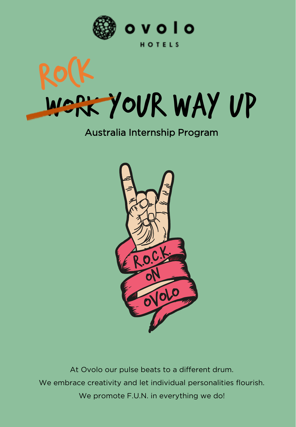



HOTELS



#### Australia Internship Program



At Ovolo our pulse beats to a different drum. We embrace creativity and let individual personalities flourish. We promote F.U.N. in everything we do!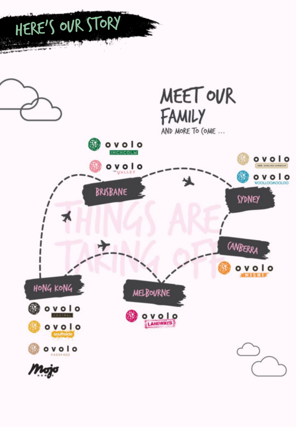

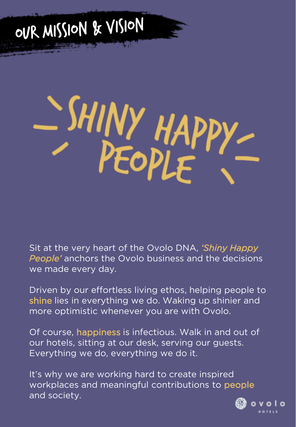## OUR MISSION & VISION

# SHINY HAPP

Sit at the very heart of the Ovolo DNA, *'Shiny Happy People'* anchors the Ovolo business and the decisions we made every day.

Driven by our effortless living ethos, helping people to shine lies in everything we do. Waking up shinier and more optimistic whenever you are with Ovolo.

Of course, happiness is infectious. Walk in and out of our hotels, sitting at our desk, serving our guests. Everything we do, everything we do it.

It's why we are working hard to create inspired workplaces and meaningful contributions to people and society.

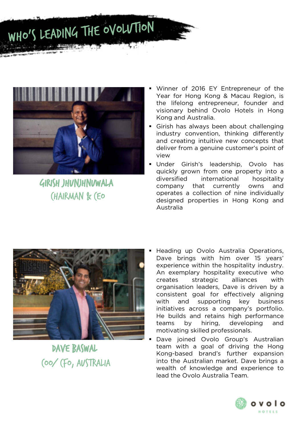



GIRISH JHUNJHNUWALA **CHAIRMAN & CEO** 

- Winner of 2016 EY Entrepreneur of the Year for Hong Kong & Macau Region, is the lifelong entrepreneur, founder and visionary behind Ovolo Hotels in Hong Kong and Australia.
- Girish has always been about challenging industry convention, thinking differently and creating intuitive new concepts that deliver from a genuine customer's point of view
- Under Girish's leadership, Ovolo has quickly grown from one property into a diversified international hospitality company that currently owns and operates a collection of nine individually designed properties in Hong Kong and Australia



Dave Baswal Coo/ CFO, Australia

- Heading up Ovolo Australia Operations, Dave brings with him over 15 years' experience within the hospitality industry. An exemplary hospitality executive who creates strategic alliances with organisation leaders, Dave is driven by a consistent goal for effectively aligning with and supporting key business initiatives across a company's portfolio. He builds and retains high performance teams by hiring, developing and motivating skilled professionals.
- Dave joined Ovolo Group's Australian team with a goal of driving the Hong Kong-based brand's further expansion into the Australian market. Dave brings a wealth of knowledge and experience to lead the Ovolo Australia Team.

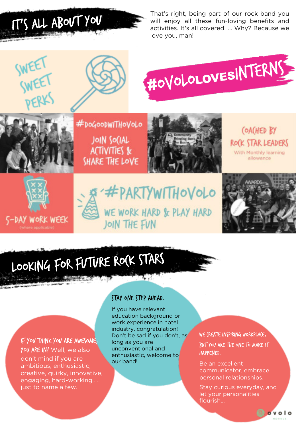IT'S ALL ABOUT YOU

That's right, being part of our rock band you will enjoy all these fun-loving benefits and activities. It's all covered! … Why? Because we love you, man!





#DoGooDWITHoVoLo



(OACHED BY ROCK STAR LEADERS With Monthly learning allowance





JOIN SOCIAL **ACTIVITIES &** SHARE THE LOVE





## LOOKING FOR FUTURE ROCK STARS

If you think you are awesome, You ARE IN! Well, we also don't mind if you are ambitious, enthusiastic, creative, quirky, innovative, engaging, hard-working….. just to name a few.

#### Stay one step ahead.

If you have relevant education background or work experience in hotel industry, congratulation! Don't be sad if you don't, as long as you are unconventional and enthusiastic, welcome to our band!

WE (REATE INSPIRING WORKPLACE,

but you are the one to make it happened.

Be an excellent communicator, embrace personal relationships.

Stay curious everyday, and let your personalities flourish...

 $o$ volo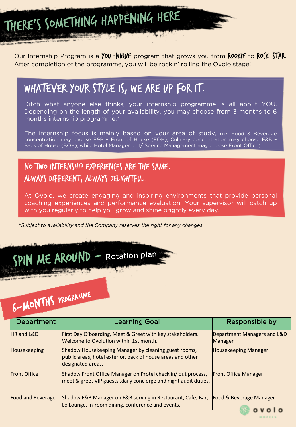THERE'S SOMETHING HAPPENING HERE

Our Internship Program is a **YOV-NIQUE** program that grows you from **ROOKIE** to **ROCK STAR.** After completion of the programme, you will be rock n' rolling the Ovolo stage!

#### Whatever your style is, we are up for it.

Ditch what anyone else thinks, your internship programme is all about YOU. Depending on the length of your availability, you may choose from 3 months to 6 months internship programme.\*

The internship focus is mainly based on your area of study, (i.e. Food & Beverage concentration may choose F&B – Front of House (FOH); Culinary concentration may choose F&B – Back of House (BOH); while Hotel Management/ Service Management may choose Front Office).

#### NO TWO INTERNSHIP EXPERIENCES ARE THE SAME. Always different, always delightful.

At Ovolo, we create engaging and inspiring environments that provide personal coaching experiences and performance evaluation. Your supervisor will catch up with you regularly to help you grow and shine brightly every day.

\**Subject to availability and the Company reserves the right for any changes*

### SPIN ME AROUND - Rotation plan

## 6-MONTHS PROGRAMME

| <b>Department</b>        | <b>Learning Goal</b>                                                                                                                     | Responsible by                         |
|--------------------------|------------------------------------------------------------------------------------------------------------------------------------------|----------------------------------------|
| <b>HR</b> and L&D        | First Day O'boarding, Meet & Greet with key stakeholders.<br>Welcome to Ovolution within 1st month.                                      | Department Managers and L&D<br>Manager |
| Housekeeping             | Shadow Housekeeping Manager by cleaning guest rooms,<br>public areas, hotel exterior, back of house areas and other<br>designated areas. | <b>Housekeeping Manager</b>            |
| <b>Front Office</b>      | Shadow Front Office Manager on Protel check in/out process,<br>meet & greet VIP guests, daily concierge and night audit duties.          | <b>Front Office Manager</b>            |
| <b>Food and Beverage</b> | Shadow F&B Manager on F&B serving in Restaurant, Cafe, Bar,<br>Lo Lounge, in-room dining, conference and events.                         | Food & Beverage Manager                |

HOTELS